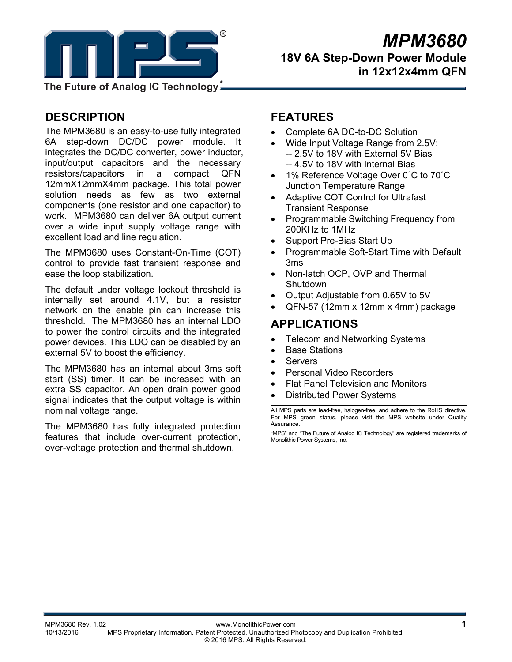

# *MPM3680* **18V 6A Step-Down Power Module in 12x12x4mm QFN**

**The Future of Analog IC Technology**

# **DESCRIPTION**

The MPM3680 is an easy-to-use fully integrated 6A step-down DC/DC power module. It integrates the DC/DC converter, power inductor, input/output capacitors and the necessary resistors/capacitors in a compact QFN 12mmX12mmX4mm package. This total power solution needs as few as two external components (one resistor and one capacitor) to work. MPM3680 can deliver 6A output current over a wide input supply voltage range with excellent load and line regulation.

The MPM3680 uses Constant-On-Time (COT) control to provide fast transient response and ease the loop stabilization.

The default under voltage lockout threshold is internally set around 4.1V, but a resistor network on the enable pin can increase this threshold. The MPM3680 has an internal LDO to power the control circuits and the integrated power devices. This LDO can be disabled by an external 5V to boost the efficiency.

The MPM3680 has an internal about 3ms soft start (SS) timer. It can be increased with an extra SS capacitor. An open drain power good signal indicates that the output voltage is within nominal voltage range.

The MPM3680 has fully integrated protection features that include over-current protection, over-voltage protection and thermal shutdown.

# **FEATURES**

- Complete 6A DC-to-DC Solution
- Wide Input Voltage Range from 2.5V: -- 2.5V to 18V with External 5V Bias -- 4.5V to 18V with Internal Bias
- 1% Reference Voltage Over 0°C to 70°C Junction Temperature Range
- Adaptive COT Control for Ultrafast Transient Response
- Programmable Switching Frequency from 200KHz to 1MHz
- Support Pre-Bias Start Up
- Programmable Soft-Start Time with Default 3ms
- Non-latch OCP, OVP and Thermal Shutdown
- Output Adjustable from 0.65V to 5V
- QFN-57 (12mm x 12mm x 4mm) package

# **APPLICATIONS**

- Telecom and Networking Systems
- Base Stations
- Servers
- Personal Video Recorders
- Flat Panel Television and Monitors
- Distributed Power Systems

All MPS parts are lead-free, halogen-free, and adhere to the RoHS directive. For MPS green status, please visit the MPS website under Quality Assurance.

"MPS" and "The Future of Analog IC Technology" are registered trademarks of Monolithic Power Systems, Inc.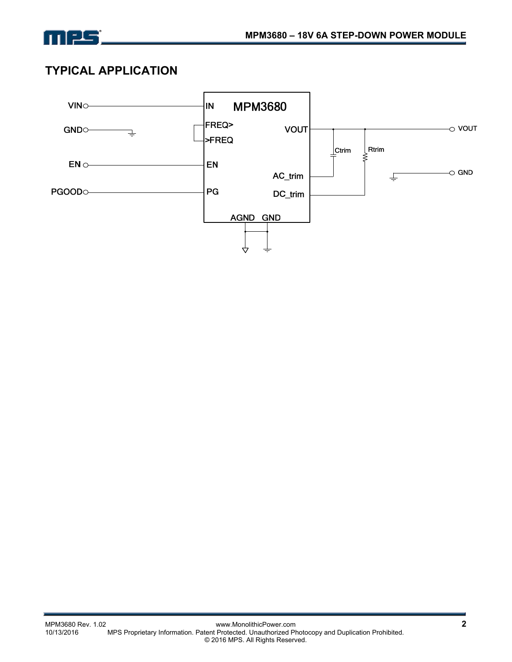

# **TYPICAL APPLICATION**

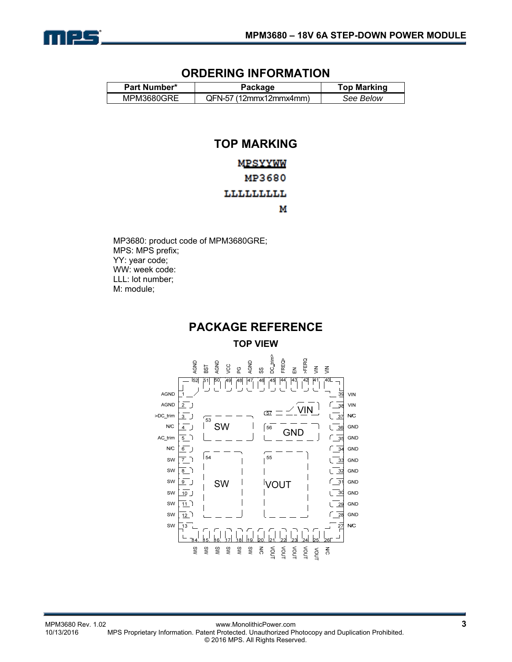

## **ORDERING INFORMATION**

| Part Number* | <b>Top Marking</b>       |           |  |
|--------------|--------------------------|-----------|--|
| MPM3680GRE   | $QFN-57$ (12mmx12mmx4mm) | See Below |  |

# **TOP MARKING**

## MPSYYWW

## MP3680

## LLLLLLLLL

М

MP3680: product code of MPM3680GRE; MPS: MPS prefix; YY: year code; WW: week code: LLL: lot number; M: module;

# **PACKAGE REFERENCE**

**TOP VIEW** 

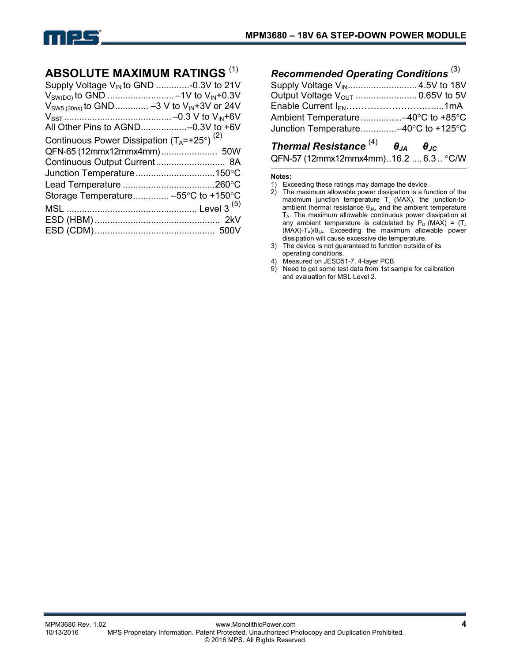

# **ABSOLUTE MAXIMUM RATINGS** (1)

| Supply Voltage V <sub>IN</sub> to GND -0.3V to 21V<br>$V_{\text{SW5 (30ns)}}$ to GND  -3 V to $V_{\text{IN}} + 3V$ or 24V<br>All Other Pins to AGND-0.3V to +6V |  |
|-----------------------------------------------------------------------------------------------------------------------------------------------------------------|--|
| Continuous Power Dissipation $(T_A = +25^\circ)^{(2)}$                                                                                                          |  |
|                                                                                                                                                                 |  |
| Continuous Output Current 8A                                                                                                                                    |  |
|                                                                                                                                                                 |  |
|                                                                                                                                                                 |  |
| Storage Temperature -55°C to +150°C                                                                                                                             |  |
|                                                                                                                                                                 |  |
|                                                                                                                                                                 |  |
|                                                                                                                                                                 |  |
|                                                                                                                                                                 |  |

| Recommended Operating Conditions <sup>(3)</sup> |  |
|-------------------------------------------------|--|
|                                                 |  |
|                                                 |  |
|                                                 |  |
|                                                 |  |
| Junction Temperature-40°C to +125°C             |  |

# *Thermal Resistance* (4) *θJA θJC* QFN-57 (12mmx12mmx4mm)..16.2 .... 6.3.. °C/W

#### **Notes:**

- 1) Exceeding these ratings may damage the device.
- 2) The maximum allowable power dissipation is a function of the maximum junction temperature  $T_J$  (MAX), the junction-toambient thermal resistance  $\theta_{JA}$ , and the ambient temperature TA. The maximum allowable continuous power dissipation at any ambient temperature is calculated by  $P_D$  (MAX) = (T<sub>J</sub>  $(MAX)$ -T<sub>A</sub>)/ $\theta_{JA}$ . Exceeding the maximum allowable power dissipation will cause excessive die temperature.
- 3) The device is not guaranteed to function outside of its operating conditions.
- 4) Measured on JESD51-7, 4-layer PCB.
- 5) Need to get some test data from 1st sample for calibration and evaluation for MSL Level 2.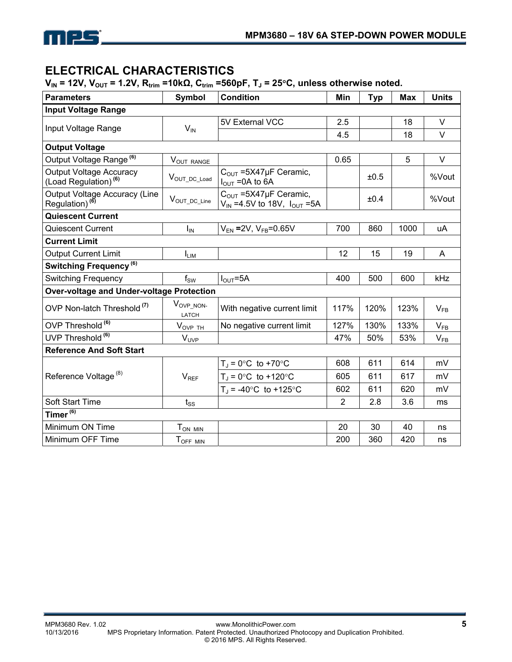

# **ELECTRICAL CHARACTERISTICS**

**V<sub>IN</sub>** = 12V, V<sub>OUT</sub> = 1.2V, R<sub>trim</sub> =10kΩ, C<sub>trim</sub> =560pF, T<sub>J</sub> = 25<sup>o</sup>C, unless otherwise noted.

| <b>Parameters</b>                                                 | <b>Symbol</b>            | <b>Condition</b>                                                      | Min            | <b>Typ</b> | <b>Max</b> | <b>Units</b> |  |  |
|-------------------------------------------------------------------|--------------------------|-----------------------------------------------------------------------|----------------|------------|------------|--------------|--|--|
| <b>Input Voltage Range</b>                                        |                          |                                                                       |                |            |            |              |  |  |
|                                                                   |                          | 5V External VCC                                                       | 2.5            |            | 18         | $\vee$       |  |  |
| Input Voltage Range                                               | $V_{IN}$                 |                                                                       | 4.5            |            | 18         | $\vee$       |  |  |
| <b>Output Voltage</b>                                             |                          |                                                                       |                |            |            |              |  |  |
| Output Voltage Range <sup>(6)</sup>                               | VOUT RANGE               |                                                                       | 0.65           |            | 5          | $\vee$       |  |  |
| Output Voltage Accuracy<br>$($ Load Regulation $)$ <sup>(6)</sup> | $V_{OUT\_DC\_Load}$      | $COUT = 5X47\mu F$ Ceramic,<br>$I_{\text{OUT}} = 0A$ to 6A            |                | ±0.5       |            | %Vout        |  |  |
| Output Voltage Accuracy (Line<br>Regulation) <sup>(6)</sup>       | VOUT_DC_Line             | $COUT = 5X47\mu F$ Ceramic,<br>$V_{IN} = 4.5V$ to 18V, $I_{OUT} = 5A$ | ±0.4           |            |            | %Vout        |  |  |
| <b>Quiescent Current</b>                                          |                          |                                                                       |                |            |            |              |  |  |
| Quiescent Current                                                 | $I_{IN}$                 | $V_{EN} = 2V$ , $V_{FB} = 0.65V$                                      | 700            | 860        | 1000       | uA           |  |  |
| <b>Current Limit</b>                                              |                          |                                                                       |                |            |            |              |  |  |
| <b>Output Current Limit</b>                                       | <b>ILIM</b>              |                                                                       | 12             | 15         | 19         | A            |  |  |
| Switching Frequency <sup>(6)</sup>                                |                          |                                                                       |                |            |            |              |  |  |
| <b>Switching Frequency</b>                                        | $\mathsf{f}_\mathsf{SW}$ | $I_{\text{OUT}} = 5A$                                                 | 400            | 500        | 600        | kHz          |  |  |
| Over-voltage and Under-voltage Protection                         |                          |                                                                       |                |            |            |              |  |  |
| OVP Non-latch Threshold <sup>(7)</sup>                            | VOVP_NON-<br>LATCH       | With negative current limit                                           | 117%           | 120%       | 123%       | $V_{FB}$     |  |  |
| OVP Threshold <sup>(6)</sup>                                      | $V_{OVP}$ TH             | No negative current limit                                             | 127%           | 130%       | 133%       | $V_{FB}$     |  |  |
| UVP Threshold <sup>(6)</sup>                                      | $V_{UVP}$                |                                                                       | 47%            | 50%        | 53%        | $V_{FB}$     |  |  |
| <b>Reference And Soft Start</b>                                   |                          |                                                                       |                |            |            |              |  |  |
|                                                                   |                          | $T_{J}$ = 0°C to +70°C                                                | 608            | 611        | 614        | mV           |  |  |
| Reference Voltage <sup>(8)</sup>                                  | $V_{REF}$                | $T_A = 0$ °C to +120°C                                                | 605            | 611        | 617        | mV           |  |  |
|                                                                   |                          | $T_{\rm d}$ = -40°C to +125°C                                         | 602            | 611        | 620        | mV           |  |  |
| <b>Soft Start Time</b>                                            | $t_{SS}$                 |                                                                       | $\overline{2}$ | 2.8        | 3.6        | ms           |  |  |
| Timer $(6)$                                                       |                          |                                                                       |                |            |            |              |  |  |
| Minimum ON Time                                                   | T <sub>ON MIN</sub>      |                                                                       | 20             | 30         | 40         | ns           |  |  |
| Minimum OFF Time                                                  | TOFF MIN                 |                                                                       | 200            | 360        | 420        | ns           |  |  |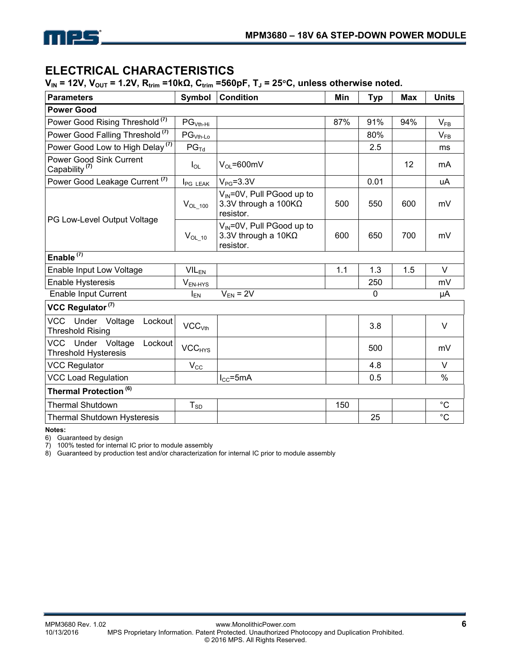

# **ELECTRICAL CHARACTERISTICS**

 $V_{IN}$  = 12V,  $V_{OUT}$  = 1.2V,  $R_{trim}$  =10kΩ,  $C_{trim}$  =560pF,  $T_J$  = 25°C, unless otherwise noted.

| <b>Parameters</b>                                           | Symbol                        | <b>Condition</b>                                                             | Min | <b>Typ</b> | Max | <b>Units</b> |
|-------------------------------------------------------------|-------------------------------|------------------------------------------------------------------------------|-----|------------|-----|--------------|
| <b>Power Good</b>                                           |                               |                                                                              |     |            |     |              |
| Power Good Rising Threshold <sup>(7)</sup>                  | $PGVth-Hi$                    |                                                                              | 87% | 91%        | 94% | $V_{FB}$     |
| Power Good Falling Threshold <sup>(7)</sup>                 | $PG_{Vth-Lo}$                 |                                                                              |     | 80%        |     | $V_{FB}$     |
| Power Good Low to High Delay <sup>(7)</sup>                 | $PG_{\text{Td}}$              |                                                                              |     | 2.5        |     | ms           |
| <b>Power Good Sink Current</b><br>Capability <sup>(7)</sup> | $I_{OL}$                      | $V_{\Omega}$ =600mV                                                          |     |            | 12  | mA           |
| Power Good Leakage Current <sup>(7)</sup>                   | <b>I</b> PG LEAK              | $V_{PG} = 3.3V$                                                              |     | 0.01       |     | uA           |
|                                                             | $V_{OL_100}$                  | $V_{IN} = 0V$ , Pull PGood up to<br>3.3V through a $100K\Omega$<br>resistor. | 500 | 550        | 600 | mV           |
| PG Low-Level Output Voltage                                 | $V_{OL_10}$                   | V <sub>IN</sub> =0V, Pull PGood up to<br>3.3V through a 10KΩ<br>resistor.    | 600 | 650        | 700 | mV           |
| Enable $(7)$                                                |                               |                                                                              |     |            |     |              |
| Enable Input Low Voltage                                    | $VIL_{EN}$                    |                                                                              | 1.1 | 1.3        | 1.5 | V            |
| <b>Enable Hysteresis</b>                                    | 250<br>$V_{EN-HYS}$           |                                                                              |     |            | mV  |              |
| <b>Enable Input Current</b>                                 | $I_{EN}$                      | $V_{EN}$ = 2V                                                                |     | 0          |     | μA           |
| VCC Regulator <sup>(7)</sup>                                |                               |                                                                              |     |            |     |              |
| VCC Under Voltage<br>Lockout<br><b>Threshold Rising</b>     | VCC <sub>Vth</sub>            |                                                                              |     | 3.8        |     | V            |
| VCC Under Voltage<br>Lockout<br><b>Threshold Hysteresis</b> | $\mathsf{VCC}_{\mathsf{HYS}}$ |                                                                              |     | 500        |     | mV           |
| <b>VCC Regulator</b>                                        | $V_{\rm CC}$                  |                                                                              |     | 4.8        |     | $\vee$       |
| <b>VCC Load Regulation</b>                                  |                               | $I_{CC} = 5mA$                                                               |     | 0.5        |     | $\%$         |
| Thermal Protection <sup>(6)</sup>                           |                               |                                                                              |     |            |     |              |
| <b>Thermal Shutdown</b>                                     | $T_{SD}$                      |                                                                              | 150 |            |     | $^{\circ}$ C |
| <b>Thermal Shutdown Hysteresis</b>                          |                               |                                                                              |     | 25         |     | $^{\circ}C$  |

**Notes:** 

6) Guaranteed by design

7) 100% tested for internal IC prior to module assembly

8) Guaranteed by production test and/or characterization for internal IC prior to module assembly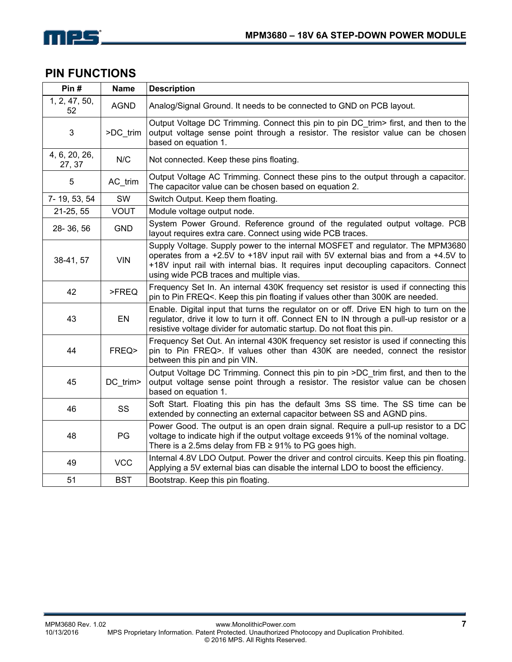

# **PIN FUNCTIONS**

| Pin#                    | <b>Name</b> | <b>Description</b>                                                                                                                                                                                                                                                                                       |
|-------------------------|-------------|----------------------------------------------------------------------------------------------------------------------------------------------------------------------------------------------------------------------------------------------------------------------------------------------------------|
| 1, 2, 47, 50,<br>52     | <b>AGND</b> | Analog/Signal Ground. It needs to be connected to GND on PCB layout.                                                                                                                                                                                                                                     |
| 3                       | >DC_trim    | Output Voltage DC Trimming. Connect this pin to pin DC trim first, and then to the<br>output voltage sense point through a resistor. The resistor value can be chosen<br>based on equation 1.                                                                                                            |
| 4, 6, 20, 26,<br>27, 37 | N/C         | Not connected. Keep these pins floating.                                                                                                                                                                                                                                                                 |
| 5                       | AC_trim     | Output Voltage AC Trimming. Connect these pins to the output through a capacitor.<br>The capacitor value can be chosen based on equation 2.                                                                                                                                                              |
| 7-19, 53, 54            | SW          | Switch Output. Keep them floating.                                                                                                                                                                                                                                                                       |
| 21-25, 55               | <b>VOUT</b> | Module voltage output node.                                                                                                                                                                                                                                                                              |
| 28-36,56                | <b>GND</b>  | System Power Ground. Reference ground of the regulated output voltage. PCB<br>layout requires extra care. Connect using wide PCB traces.                                                                                                                                                                 |
| 38-41, 57               | <b>VIN</b>  | Supply Voltage. Supply power to the internal MOSFET and regulator. The MPM3680<br>operates from a +2.5V to +18V input rail with 5V external bias and from a +4.5V to<br>+18V input rail with internal bias. It requires input decoupling capacitors. Connect<br>using wide PCB traces and multiple vias. |
| 42                      | >FREQ       | Frequency Set In. An internal 430K frequency set resistor is used if connecting this<br>pin to Pin FREQ<. Keep this pin floating if values other than 300K are needed.                                                                                                                                   |
| 43                      | EN          | Enable. Digital input that turns the regulator on or off. Drive EN high to turn on the<br>regulator, drive it low to turn it off. Connect EN to IN through a pull-up resistor or a<br>resistive voltage divider for automatic startup. Do not float this pin.                                            |
| 44                      | FREQ>       | Frequency Set Out. An internal 430K frequency set resistor is used if connecting this<br>pin to Pin FREQ>. If values other than 430K are needed, connect the resistor<br>between this pin and pin VIN.                                                                                                   |
| 45                      | DC trim>    | Output Voltage DC Trimming. Connect this pin to pin >DC trim first, and then to the<br>output voltage sense point through a resistor. The resistor value can be chosen<br>based on equation 1.                                                                                                           |
| 46                      | SS          | Soft Start. Floating this pin has the default 3ms SS time. The SS time can be<br>extended by connecting an external capacitor between SS and AGND pins.                                                                                                                                                  |
| 48                      | PG          | Power Good. The output is an open drain signal. Require a pull-up resistor to a DC<br>voltage to indicate high if the output voltage exceeds 91% of the nominal voltage.<br>There is a 2.5ms delay from FB $\geq$ 91% to PG goes high.                                                                   |
| 49                      | <b>VCC</b>  | Internal 4.8V LDO Output. Power the driver and control circuits. Keep this pin floating.<br>Applying a 5V external bias can disable the internal LDO to boost the efficiency.                                                                                                                            |
| 51                      | <b>BST</b>  | Bootstrap. Keep this pin floating.                                                                                                                                                                                                                                                                       |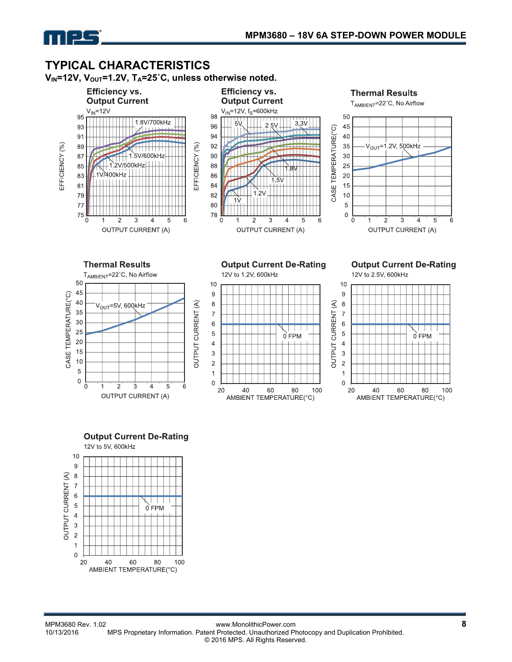

**TYPICAL CHARACTERISTICS**<br>V<sub>IN</sub>=12V, V<sub>OUT</sub>=1.2V, T<sub>A</sub>=25°C, unless otherwise noted.













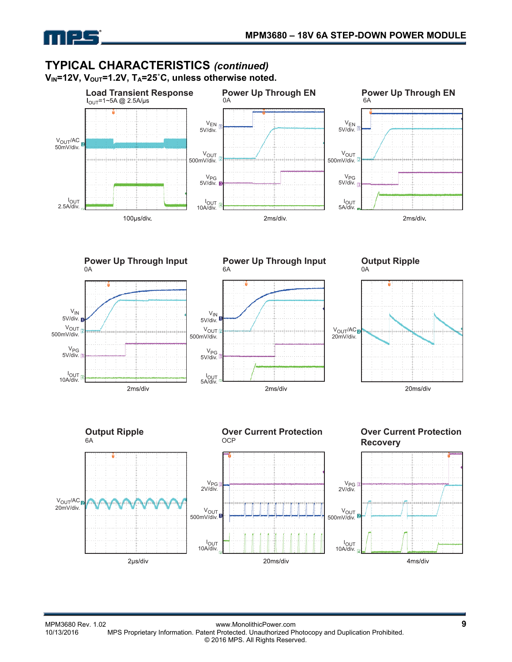

## **TYPICAL CHARACTERISTICS** *(continued)* V<sub>IN</sub>=12V, V<sub>OUT</sub>=1.2V, T<sub>A</sub>=25°C, unless otherwise noted.



**Power Up Through Input**  0A





6A

**Power Up Through Input** 





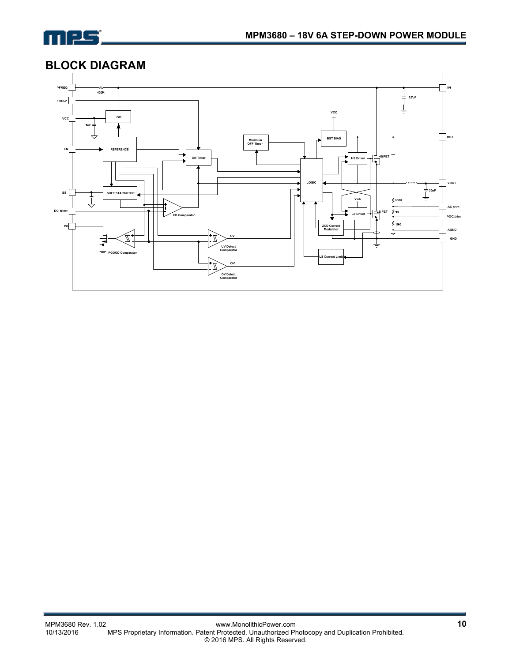

# **BLOCK DIAGRAM**

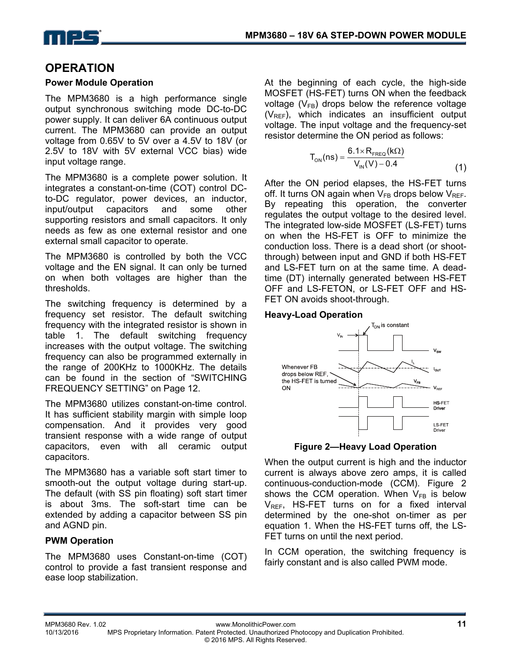

# **OPERATION**

## **Power Module Operation**

The MPM3680 is a high performance single output synchronous switching mode DC-to-DC power supply. It can deliver 6A continuous output current. The MPM3680 can provide an output voltage from 0.65V to 5V over a 4.5V to 18V (or 2.5V to 18V with 5V external VCC bias) wide input voltage range.

The MPM3680 is a complete power solution. It integrates a constant-on-time (COT) control DCto-DC regulator, power devices, an inductor, input/output capacitors and some other supporting resistors and small capacitors. It only needs as few as one external resistor and one external small capacitor to operate.

The MPM3680 is controlled by both the VCC voltage and the EN signal. It can only be turned on when both voltages are higher than the thresholds.

The switching frequency is determined by a frequency set resistor. The default switching frequency with the integrated resistor is shown in table 1. The default switching frequency increases with the output voltage. The switching frequency can also be programmed externally in the range of 200KHz to 1000KHz. The details can be found in the section of "SWITCHING FREQUENCY SETTING" on Page 12.

The MPM3680 utilizes constant-on-time control. It has sufficient stability margin with simple loop compensation. And it provides very good transient response with a wide range of output capacitors, even with all ceramic output capacitors.

The MPM3680 has a variable soft start timer to smooth-out the output voltage during start-up. The default (with SS pin floating) soft start timer is about 3ms. The soft-start time can be extended by adding a capacitor between SS pin and AGND pin.

## **PWM Operation**

The MPM3680 uses Constant-on-time (COT) control to provide a fast transient response and ease loop stabilization.

At the beginning of each cycle, the high-side MOSFET (HS-FET) turns ON when the feedback voltage  $(V_{FB})$  drops below the reference voltage  $(V_{REF})$ , which indicates an insufficient output voltage. The input voltage and the frequency-set resistor determine the ON period as follows:

$$
T_{ON}(ns) = \frac{6.1 \times R_{FREG}(k\Omega)}{V_{IN}(V) - 0.4}
$$
 (1)

After the ON period elapses, the HS-FET turns off. It turns ON again when  $V_{FB}$  drops below  $V_{RFF}$ . By repeating this operation, the converter regulates the output voltage to the desired level. The integrated low-side MOSFET (LS-FET) turns on when the HS-FET is OFF to minimize the conduction loss. There is a dead short (or shootthrough) between input and GND if both HS-FET and LS-FET turn on at the same time. A deadtime (DT) internally generated between HS-FET OFF and LS-FETON, or LS-FET OFF and HS-FET ON avoids shoot-through.

#### **Heavy-Load Operation**



**Figure 2—Heavy Load Operation** 

When the output current is high and the inductor current is always above zero amps, it is called continuous-conduction-mode (CCM). Figure 2 shows the CCM operation. When  $V_{FB}$  is below  $V_{RFF}$ , HS-FET turns on for a fixed interval determined by the one-shot on-timer as per equation 1. When the HS-FET turns off, the LS-FET turns on until the next period.

In CCM operation, the switching frequency is fairly constant and is also called PWM mode.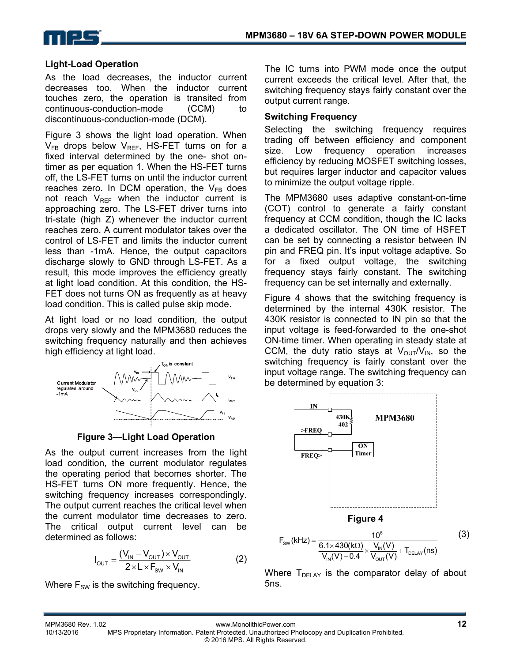

#### **Light-Load Operation**

As the load decreases, the inductor current decreases too. When the inductor current touches zero, the operation is transited from continuous-conduction-mode (CCM) to discontinuous-conduction-mode (DCM).

Figure 3 shows the light load operation. When  $V_{FB}$  drops below  $V_{REF}$ , HS-FET turns on for a fixed interval determined by the one- shot ontimer as per equation 1. When the HS-FET turns off, the LS-FET turns on until the inductor current reaches zero. In DCM operation, the  $V_{FB}$  does not reach  $V_{REF}$  when the inductor current is approaching zero. The LS-FET driver turns into tri-state (high Z) whenever the inductor current reaches zero. A current modulator takes over the control of LS-FET and limits the inductor current less than -1mA. Hence, the output capacitors discharge slowly to GND through LS-FET. As a result, this mode improves the efficiency greatly at light load condition. At this condition, the HS-FET does not turns ON as frequently as at heavy load condition. This is called pulse skip mode.

At light load or no load condition, the output drops very slowly and the MPM3680 reduces the switching frequency naturally and then achieves high efficiency at light load.



**Figure 3—Light Load Operation** 

As the output current increases from the light load condition, the current modulator regulates the operating period that becomes shorter. The HS-FET turns ON more frequently. Hence, the switching frequency increases correspondingly. The output current reaches the critical level when the current modulator time decreases to zero. The critical output current level can be determined as follows:

$$
I_{\text{OUT}} = \frac{(V_{\text{IN}} - V_{\text{OUT}}) \times V_{\text{OUT}}}{2 \times L \times F_{\text{SW}} \times V_{\text{IN}}}
$$
(2)

Where  $F_{SW}$  is the switching frequency.

The IC turns into PWM mode once the output current exceeds the critical level. After that, the switching frequency stays fairly constant over the output current range.

#### **Switching Frequency**

Selecting the switching frequency requires trading off between efficiency and component size. Low frequency operation increases efficiency by reducing MOSFET switching losses, but requires larger inductor and capacitor values to minimize the output voltage ripple.

The MPM3680 uses adaptive constant-on-time (COT) control to generate a fairly constant frequency at CCM condition, though the IC lacks a dedicated oscillator. The ON time of HSFET can be set by connecting a resistor between IN pin and FREQ pin. It's input voltage adaptive. So for a fixed output voltage, the switching frequency stays fairly constant. The switching frequency can be set internally and externally.

Figure 4 shows that the switching frequency is determined by the internal 430K resistor. The 430K resistor is connected to IN pin so that the input voltage is feed-forwarded to the one-shot ON-time timer. When operating in steady state at CCM, the duty ratio stays at  $V_{\text{OUT}}/V_{\text{IN}}$ , so the switching frequency is fairly constant over the input voltage range. The switching frequency can be determined by equation 3:



$$
F_{\text{SW}}(\text{kHz}) = \frac{10^6}{\frac{6.1 \times 430(\text{k}\Omega)}{V_{\text{IN}}(V) - 0.4} \times \frac{V_{\text{IN}}(V)}{V_{\text{OUT}}(V)} + T_{\text{DELAY}}(\text{ns})}
$$
(3)

Where  $T_{\text{DELAY}}$  is the comparator delay of about 5ns.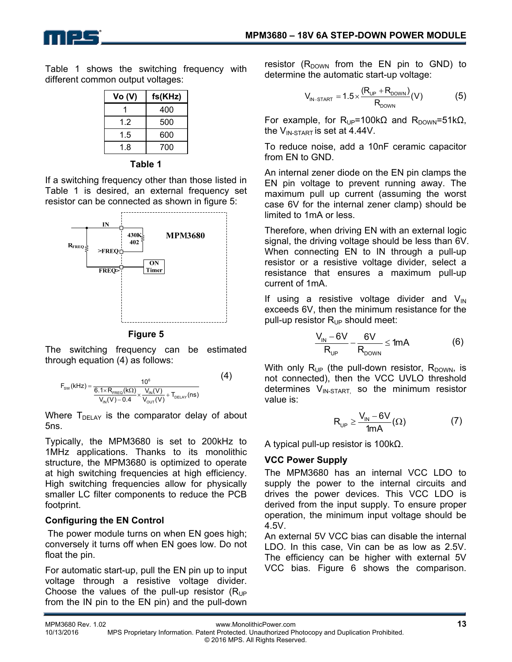

Table 1 shows the switching frequency with different common output voltages:

| <b>Vo (V)</b> | fs(KHz) |  |  |
|---------------|---------|--|--|
|               | 400     |  |  |
| 12            | 500     |  |  |
| 1.5           | 600     |  |  |
| 1.8           | 700     |  |  |



If a switching frequency other than those listed in Table 1 is desired, an external frequency set resistor can be connected as shown in figure 5:



**Figure 5** 

The switching frequency can be estimated through equation (4) as follows:

$$
F_{\text{SW}}(k \text{ Hz}) = \frac{10^6}{\frac{6.1 \times R_{\text{FREG}}(k \Omega)}{V_{\text{IN}}(V) - 0.4} \times \frac{V_{\text{IN}}(V)}{V_{\text{OUT}}(V)} + T_{\text{DELAY}}(ns)}} \tag{4}
$$

Where  $T_{\text{DELAY}}$  is the comparator delay of about 5ns.

Typically, the MPM3680 is set to 200kHz to 1MHz applications. Thanks to its monolithic structure, the MPM3680 is optimized to operate at high switching frequencies at high efficiency. High switching frequencies allow for physically smaller LC filter components to reduce the PCB footprint.

## **Configuring the EN Control**

 The power module turns on when EN goes high; conversely it turns off when EN goes low. Do not float the pin.

For automatic start-up, pull the EN pin up to input voltage through a resistive voltage divider. Choose the values of the pull-up resistor  $(R_{UP}$ from the IN pin to the EN pin) and the pull-down

resistor  $(R_{DOWN}$  from the EN pin to GND) to determine the automatic start-up voltage:

$$
V_{IN-STAT} = 1.5 \times \frac{(R_{UP} + R_{DONN})}{R_{DONN}}(V)
$$
 (5)

For example, for  $R_{UP}$ =100kΩ and  $R_{DOWN}$ =51kΩ, the  $V_{IN-STATE}$  is set at 4.44V.

To reduce noise, add a 10nF ceramic capacitor from EN to GND.

An internal zener diode on the EN pin clamps the EN pin voltage to prevent running away. The maximum pull up current (assuming the worst case 6V for the internal zener clamp) should be limited to 1mA or less.

Therefore, when driving EN with an external logic signal, the driving voltage should be less than 6V. When connecting EN to IN through a pull-up resistor or a resistive voltage divider, select a resistance that ensures a maximum pull-up current of 1mA.

If using a resistive voltage divider and  $V_{\text{IN}}$ exceeds 6V, then the minimum resistance for the pull-up resistor  $R_{UP}$  should meet:

$$
\frac{V_{\text{IN}} - 6V}{R_{\text{UP}}} - \frac{6V}{R_{\text{DOWN}}} \le 1 \text{mA}
$$
 (6)

With only  $R_{UP}$  (the pull-down resistor,  $R_{DOWN}$ , is not connected), then the VCC UVLO threshold determines  $V_{IN-STATE}$  so the minimum resistor value is:

$$
R_{_{UP}} \ge \frac{V_{\text{IN}} - 6V}{1mA} (\Omega) \tag{7}
$$

A typical pull-up resistor is 100kΩ.

# **VCC Power Supply**

The MPM3680 has an internal VCC LDO to supply the power to the internal circuits and drives the power devices. This VCC LDO is derived from the input supply. To ensure proper operation, the minimum input voltage should be 4.5V.

An external 5V VCC bias can disable the internal LDO. In this case, Vin can be as low as 2.5V. The efficiency can be higher with external 5V VCC bias. Figure 6 shows the comparison.

MPM3680 Rev. 1.02 www.MonolithicPower.com **13** MPS Proprietary Information. Patent Protected. Unauthorized Photocopy and Duplication Prohibited. © 2016 MPS. All Rights Reserved.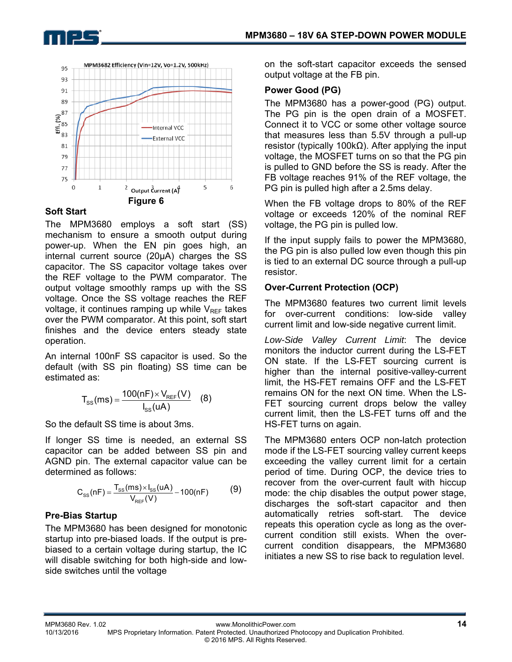



## **Soft Start**

The MPM3680 employs a soft start (SS) mechanism to ensure a smooth output during power-up. When the EN pin goes high, an internal current source (20μA) charges the SS capacitor. The SS capacitor voltage takes over the REF voltage to the PWM comparator. The output voltage smoothly ramps up with the SS voltage. Once the SS voltage reaches the REF voltage, it continues ramping up while  $V_{REF}$  takes over the PWM comparator. At this point, soft start finishes and the device enters steady state operation.

An internal 100nF SS capacitor is used. So the default (with SS pin floating) SS time can be estimated as:

$$
T_{SS}(ms) = \frac{100(nF) \times V_{REF}(V)}{I_{SS}(uA)}
$$
 (8)

So the default SS time is about 3ms.

If longer SS time is needed, an external SS capacitor can be added between SS pin and AGND pin. The external capacitor value can be determined as follows:

$$
C_{SS}(nF) = \frac{T_{SS}(ms) \times I_{SS}(uA)}{V_{REF}(V)} - 100(nF)
$$
 (9)

## **Pre-Bias Startup**

The MPM3680 has been designed for monotonic startup into pre-biased loads. If the output is prebiased to a certain voltage during startup, the IC will disable switching for both high-side and lowside switches until the voltage

on the soft-start capacitor exceeds the sensed output voltage at the FB pin.

## **Power Good (PG)**

The MPM3680 has a power-good (PG) output. The PG pin is the open drain of a MOSFET. Connect it to VCC or some other voltage source that measures less than 5.5V through a pull-up resistor (typically 100kΩ). After applying the input voltage, the MOSFET turns on so that the PG pin is pulled to GND before the SS is ready. After the FB voltage reaches 91% of the REF voltage, the PG pin is pulled high after a 2.5ms delay.

When the FB voltage drops to 80% of the REF voltage or exceeds 120% of the nominal REF voltage, the PG pin is pulled low.

If the input supply fails to power the MPM3680, the PG pin is also pulled low even though this pin is tied to an external DC source through a pull-up resistor.

## **Over-Current Protection (OCP)**

The MPM3680 features two current limit levels for over-current conditions: low-side valley current limit and low-side negative current limit.

*Low-Side Valley Current Limit*: The device monitors the inductor current during the LS-FET ON state. If the LS-FET sourcing current is higher than the internal positive-valley-current limit, the HS-FET remains OFF and the LS-FET remains ON for the next ON time. When the LS-FET sourcing current drops below the valley current limit, then the LS-FET turns off and the HS-FET turns on again.

The MPM3680 enters OCP non-latch protection mode if the LS-FET sourcing valley current keeps exceeding the valley current limit for a certain period of time. During OCP, the device tries to recover from the over-current fault with hiccup mode: the chip disables the output power stage, discharges the soft-start capacitor and then automatically retries soft-start. The device repeats this operation cycle as long as the overcurrent condition still exists. When the overcurrent condition disappears, the MPM3680 initiates a new SS to rise back to regulation level.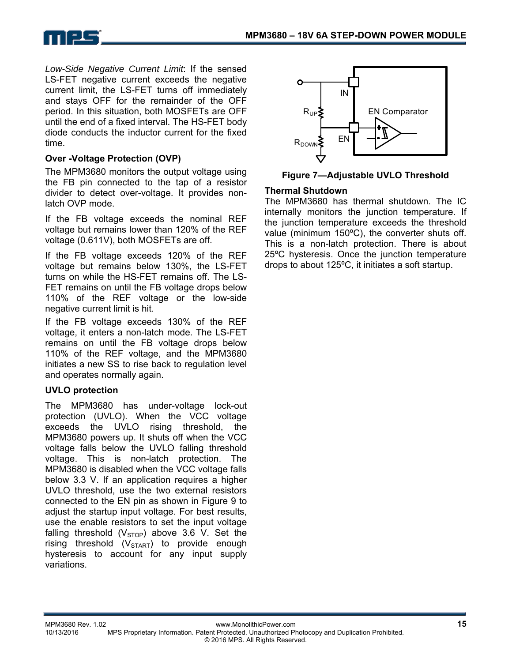

*Low-Side Negative Current Limit*: If the sensed LS-FET negative current exceeds the negative current limit, the LS-FET turns off immediately and stays OFF for the remainder of the OFF period. In this situation, both MOSFETs are OFF until the end of a fixed interval. The HS-FET body diode conducts the inductor current for the fixed time.

## **Over -Voltage Protection (OVP)**

The MPM3680 monitors the output voltage using the FB pin connected to the tap of a resistor divider to detect over-voltage. It provides nonlatch OVP mode.

If the FB voltage exceeds the nominal REF voltage but remains lower than 120% of the REF voltage (0.611V), both MOSFETs are off.

If the FB voltage exceeds 120% of the REF voltage but remains below 130%, the LS-FET turns on while the HS-FET remains off. The LS-FET remains on until the FB voltage drops below 110% of the REF voltage or the low-side negative current limit is hit.

If the FB voltage exceeds 130% of the REF voltage, it enters a non-latch mode. The LS-FET remains on until the FB voltage drops below 110% of the REF voltage, and the MPM3680 initiates a new SS to rise back to regulation level and operates normally again.

## **UVLO protection**

The MPM3680 has under-voltage lock-out protection (UVLO). When the VCC voltage exceeds the UVLO rising threshold, the MPM3680 powers up. It shuts off when the VCC voltage falls below the UVLO falling threshold voltage. This is non-latch protection. The MPM3680 is disabled when the VCC voltage falls below 3.3 V. If an application requires a higher UVLO threshold, use the two external resistors connected to the EN pin as shown in Figure 9 to adjust the startup input voltage. For best results, use the enable resistors to set the input voltage falling threshold  $(V_{STOP})$  above 3.6 V. Set the rising threshold  $(V_{STAT})$  to provide enough hysteresis to account for any input supply variations.



**Figure 7—Adjustable UVLO Threshold** 

#### **Thermal Shutdown**

The MPM3680 has thermal shutdown. The IC internally monitors the junction temperature. If the junction temperature exceeds the threshold value (minimum 150ºC), the converter shuts off. This is a non-latch protection. There is about 25ºC hysteresis. Once the junction temperature drops to about 125ºC, it initiates a soft startup.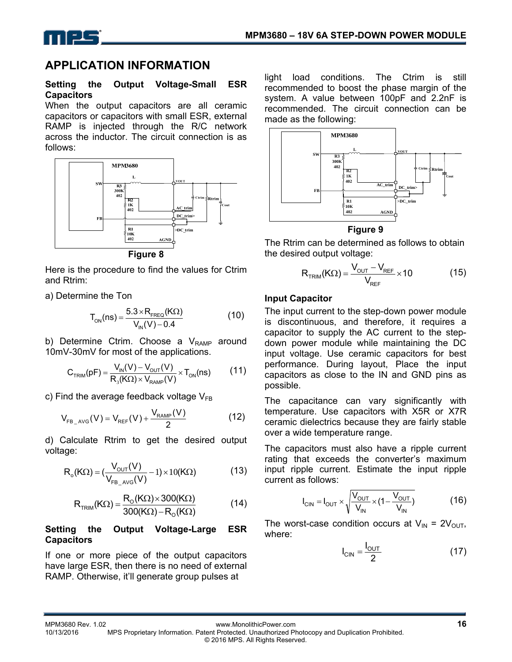



# **APPLICATION INFORMATION**

#### **Setting the Output Voltage-Small ESR Capacitors**

When the output capacitors are all ceramic capacitors or capacitors with small ESR, external RAMP is injected through the R/C network across the inductor. The circuit connection is as follows:



**Figure 8** 

Here is the procedure to find the values for Ctrim and Rtrim:

a) Determine the Ton

$$
T_{ON}(ns) = \frac{5.3 \times R_{FREQ}(K\Omega)}{V_{IN}(V) - 0.4}
$$
 (10)

b) Determine Ctrim. Choose a  $V_{RAMP}$  around 10mV-30mV for most of the applications.

$$
C_{TRIM}(pF) = \frac{V_{IN}(V) - V_{OUT}(V)}{R_{3}(K\Omega) \times V_{RAMP}(V)} \times T_{ON}(ns)
$$
 (11)

c) Find the average feedback voltage  $V_{FB}$ 

$$
V_{FB_{\perp} \text{AVG}}(V) = V_{REF}(V) + \frac{V_{RAMP}(V)}{2}
$$
 (12)

d) Calculate Rtrim to get the desired output voltage:

$$
R_o(K\Omega) = \left(\frac{V_{\text{OUT}}(V)}{V_{\text{FB_AVG}}(V)} - 1\right) \times 10(K\Omega) \tag{13}
$$

$$
R_{TRIM}(K\Omega) = \frac{R_o(K\Omega) \times 300(K\Omega)}{300(K\Omega) - R_o(K\Omega)}
$$
(14)

#### **Setting the Output Voltage-Large ESR Capacitors**

If one or more piece of the output capacitors have large ESR, then there is no need of external RAMP. Otherwise, it'll generate group pulses at

light load conditions. The Ctrim is still recommended to boost the phase margin of the system. A value between 100pF and 2.2nF is recommended. The circuit connection can be made as the following:



#### **Figure 9**

The Rtrim can be determined as follows to obtain the desired output voltage:

$$
R_{TRIM}(K\Omega) = \frac{V_{OUT} - V_{REF}}{V_{REF}} \times 10
$$
 (15)

### **Input Capacitor**

The input current to the step-down power module is discontinuous, and therefore, it requires a capacitor to supply the AC current to the stepdown power module while maintaining the DC input voltage. Use ceramic capacitors for best performance. During layout, Place the input capacitors as close to the IN and GND pins as possible.

The capacitance can vary significantly with temperature. Use capacitors with X5R or X7R ceramic dielectrics because they are fairly stable over a wide temperature range.

The capacitors must also have a ripple current rating that exceeds the converter's maximum input ripple current. Estimate the input ripple current as follows:

$$
I_{\text{CIN}} = I_{\text{OUT}} \times \sqrt{\frac{V_{\text{OUT}}}{V_{\text{IN}}} \times (1 - \frac{V_{\text{OUT}}}{V_{\text{IN}}})}
$$
(16)

The worst-case condition occurs at  $V_{IN} = 2V_{OUT}$ , where:

$$
I_{\text{CIN}} = \frac{I_{\text{OUT}}}{2} \tag{17}
$$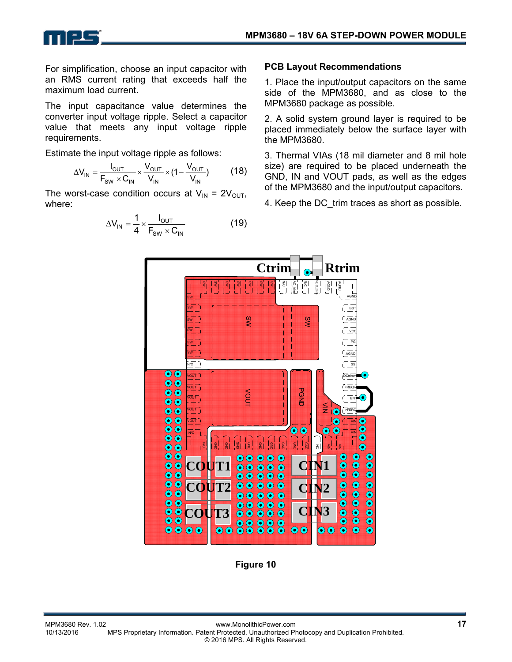

For simplification, choose an input capacitor with an RMS current rating that exceeds half the maximum load current.

The input capacitance value determines the converter input voltage ripple. Select a capacitor value that meets any input voltage ripple requirements.

Estimate the input voltage ripple as follows:

$$
\Delta V_{IN} = \frac{I_{OUT}}{F_{SW} \times C_{IN}} \times \frac{V_{OUT}}{V_{IN}} \times (1 - \frac{V_{OUT}}{V_{IN}})
$$
(18)

The worst-case condition occurs at  $V_{IN} = 2V_{OUT}$ , where:

$$
\Delta V_{IN} = \frac{1}{4} \times \frac{I_{OUT}}{F_{SW} \times C_{IN}}
$$
(19)

#### **PCB Layout Recommendations**

1. Place the input/output capacitors on the same side of the MPM3680, and as close to the MPM3680 package as possible.

2. A solid system ground layer is required to be placed immediately below the surface layer with the MPM3680.

3. Thermal VIAs (18 mil diameter and 8 mil hole size) are required to be placed underneath the GND, IN and VOUT pads, as well as the edges of the MPM3680 and the input/output capacitors.

4. Keep the DC trim traces as short as possible.



**Figure 10**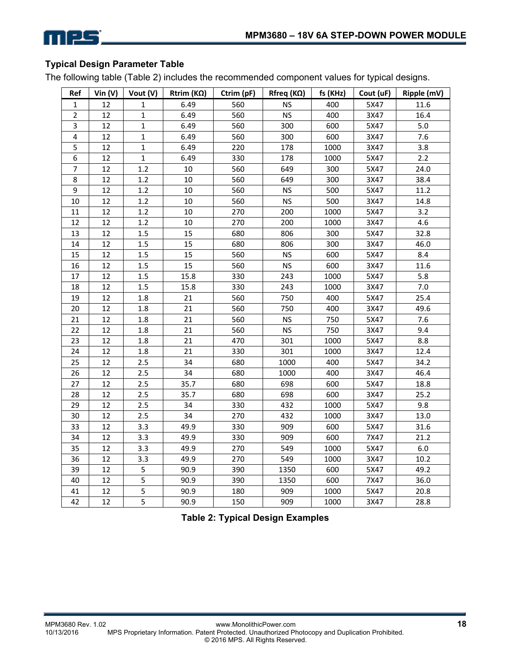

## **Typical Design Parameter Table**

The following table (Table 2) includes the recommended component values for typical designs.

| Ref                     | Vin $(V)$ | Vout $(V)$   | Rtrim ( $K\Omega$ ) | Ctrim (pF) | Rfreq ( $K\Omega$ ) | fs (KHz) | Cout (uF) | Ripple (mV) |
|-------------------------|-----------|--------------|---------------------|------------|---------------------|----------|-----------|-------------|
| 1                       | 12        | 1            | 6.49                | 560        | <b>NS</b>           | 400      | 5X47      | 11.6        |
| $\overline{2}$          | 12        | $\mathbf{1}$ | 6.49                | 560        | <b>NS</b>           | 400      | 3X47      | 16.4        |
| 3                       | 12        | 1            | 6.49                | 560        | 300                 | 600      | 5X47      | 5.0         |
| $\overline{\mathbf{4}}$ | 12        | $\mathbf{1}$ | 6.49                | 560        | 300                 | 600      | 3X47      | 7.6         |
| 5                       | 12        | $\mathbf{1}$ | 6.49                | 220        | 178                 | 1000     | 3X47      | 3.8         |
| 6                       | 12        | $\mathbf{1}$ | 6.49                | 330        | 178                 | 1000     | 5X47      | 2.2         |
| $\overline{7}$          | 12        | 1.2          | 10                  | 560        | 649                 | 300      | 5X47      | 24.0        |
| 8                       | 12        | 1.2          | 10                  | 560        | 649                 | 300      | 3X47      | 38.4        |
| 9                       | 12        | 1.2          | 10                  | 560        | <b>NS</b>           | 500      | 5X47      | 11.2        |
| 10                      | 12        | 1.2          | 10                  | 560        | <b>NS</b>           | 500      | 3X47      | 14.8        |
| 11                      | 12        | 1.2          | 10                  | 270        | 200                 | 1000     | 5X47      | 3.2         |
| 12                      | 12        | 1.2          | 10                  | 270        | 200                 | 1000     | 3X47      | 4.6         |
| 13                      | 12        | 1.5          | 15                  | 680        | 806                 | 300      | 5X47      | 32.8        |
| 14                      | 12        | $1.5\,$      | 15                  | 680        | 806                 | 300      | 3X47      | 46.0        |
| 15                      | 12        | 1.5          | 15                  | 560        | <b>NS</b>           | 600      | 5X47      | 8.4         |
| 16                      | 12        | 1.5          | 15                  | 560        | <b>NS</b>           | 600      | 3X47      | 11.6        |
| 17                      | 12        | $1.5\,$      | 15.8                | 330        | 243                 | 1000     | 5X47      | 5.8         |
| 18                      | 12        | 1.5          | 15.8                | 330        | 243                 | 1000     | 3X47      | $7.0$       |
| 19                      | 12        | 1.8          | 21                  | 560        | 750                 | 400      | 5X47      | 25.4        |
| 20                      | 12        | 1.8          | 21                  | 560        | 750                 | 400      | 3X47      | 49.6        |
| 21                      | 12        | 1.8          | 21                  | 560        | <b>NS</b>           | 750      | 5X47      | 7.6         |
| 22                      | 12        | 1.8          | 21                  | 560        | <b>NS</b>           | 750      | 3X47      | 9.4         |
| 23                      | 12        | 1.8          | 21                  | 470        | 301                 | 1000     | 5X47      | 8.8         |
| 24                      | 12        | 1.8          | 21                  | 330        | 301                 | 1000     | 3X47      | 12.4        |
| 25                      | 12        | 2.5          | 34                  | 680        | 1000                | 400      | 5X47      | 34.2        |
| 26                      | 12        | 2.5          | 34                  | 680        | 1000                | 400      | 3X47      | 46.4        |
| 27                      | 12        | 2.5          | 35.7                | 680        | 698                 | 600      | 5X47      | 18.8        |
| 28                      | 12        | 2.5          | 35.7                | 680        | 698                 | 600      | 3X47      | 25.2        |
| 29                      | 12        | 2.5          | 34                  | 330        | 432                 | 1000     | 5X47      | 9.8         |
| 30                      | 12        | $2.5$        | 34                  | 270        | 432                 | 1000     | 3X47      | 13.0        |
| 33                      | 12        | 3.3          | 49.9                | 330        | 909                 | 600      | 5X47      | 31.6        |
| 34                      | 12        | 3.3          | 49.9                | 330        | 909                 | 600      | 7X47      | 21.2        |
| 35                      | 12        | 3.3          | 49.9                | 270        | 549                 | 1000     | 5X47      | 6.0         |
| 36                      | 12        | 3.3          | 49.9                | 270        | 549                 | 1000     | 3X47      | 10.2        |
| 39                      | 12        | 5            | 90.9                | 390        | 1350                | 600      | 5X47      | 49.2        |
| 40                      | 12        | 5            | 90.9                | 390        | 1350                | 600      | 7X47      | 36.0        |
| 41                      | 12        | 5            | 90.9                | 180        | 909                 | 1000     | 5X47      | 20.8        |
| 42                      | 12        | 5            | 90.9                | 150        | 909                 | 1000     | 3X47      | 28.8        |

**Table 2: Typical Design Examples**